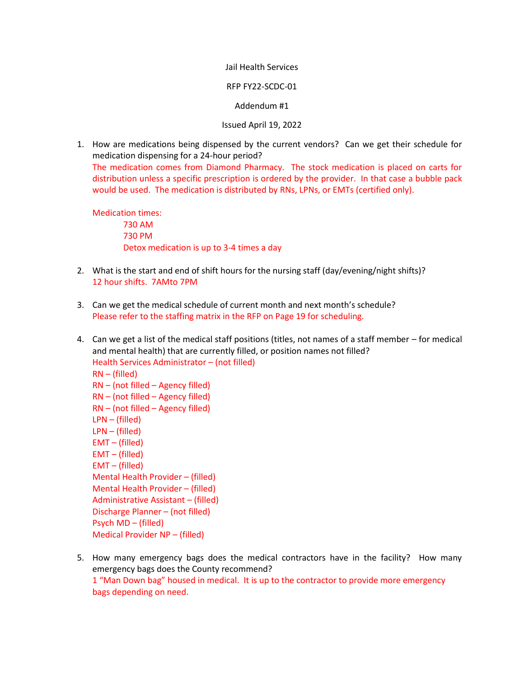## Jail Health Services

## RFP FY22-SCDC-01

## Addendum #1

## Issued April 19, 2022

1. How are medications being dispensed by the current vendors? Can we get their schedule for medication dispensing for a 24-hour period? The medication comes from Diamond Pharmacy. The stock medication is placed on carts for distribution unless a specific prescription is ordered by the provider. In that case a bubble pack would be used. The medication is distributed by RNs, LPNs, or EMTs (certified only).

Medication times: 730 AM 730 PM Detox medication is up to 3-4 times a day

- 2. What is the start and end of shift hours for the nursing staff (day/evening/night shifts)? 12 hour shifts. 7AMto 7PM
- 3. Can we get the medical schedule of current month and next month's schedule? Please refer to the staffing matrix in the RFP on Page 19 for scheduling.
- 4. Can we get a list of the medical staff positions (titles, not names of a staff member for medical and mental health) that are currently filled, or position names not filled? Health Services Administrator – (not filled) RN – (filled) RN – (not filled – Agency filled) RN – (not filled – Agency filled) RN – (not filled – Agency filled) LPN – (filled) LPN – (filled) EMT – (filled) EMT – (filled) EMT – (filled) Mental Health Provider – (filled) Mental Health Provider – (filled) Administrative Assistant – (filled) Discharge Planner – (not filled) Psych MD – (filled) Medical Provider NP – (filled)
- 5. How many emergency bags does the medical contractors have in the facility? How many emergency bags does the County recommend? 1 "Man Down bag" housed in medical. It is up to the contractor to provide more emergency bags depending on need.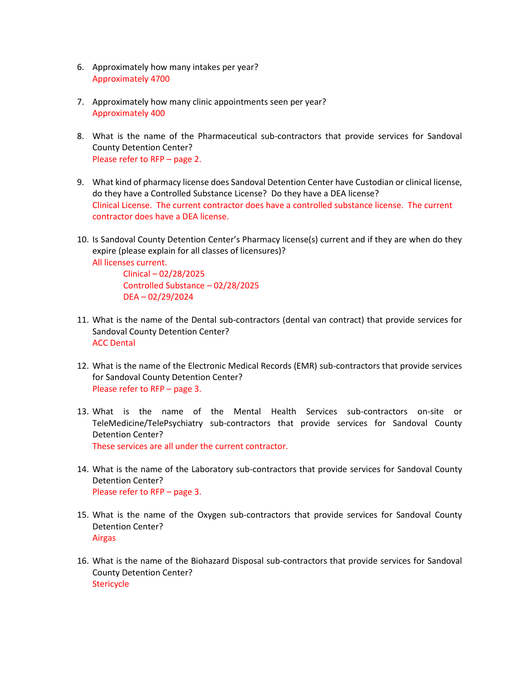- 6. Approximately how many intakes per year? Approximately 4700
- 7. Approximately how many clinic appointments seen per year? Approximately 400
- 8. What is the name of the Pharmaceutical sub-contractors that provide services for Sandoval County Detention Center? Please refer to RFP – page 2.
- 9. What kind of pharmacy license does Sandoval Detention Center have Custodian or clinical license, do they have a Controlled Substance License? Do they have a DEA license? Clinical License. The current contractor does have a controlled substance license. The current contractor does have a DEA license.
- 10. Is Sandoval County Detention Center's Pharmacy license(s) current and if they are when do they expire (please explain for all classes of licensures)? All licenses current.

Clinical – 02/28/2025 Controlled Substance – 02/28/2025 DEA – 02/29/2024

- 11. What is the name of the Dental sub-contractors (dental van contract) that provide services for Sandoval County Detention Center? ACC Dental
- 12. What is the name of the Electronic Medical Records (EMR) sub-contractors that provide services for Sandoval County Detention Center? Please refer to RFP – page 3.
- 13. What is the name of the Mental Health Services sub-contractors on-site or TeleMedicine/TelePsychiatry sub-contractors that provide services for Sandoval County Detention Center? These services are all under the current contractor.
- 14. What is the name of the Laboratory sub-contractors that provide services for Sandoval County Detention Center? Please refer to RFP – page 3.
- 15. What is the name of the Oxygen sub-contractors that provide services for Sandoval County Detention Center? Airgas
- 16. What is the name of the Biohazard Disposal sub-contractors that provide services for Sandoval County Detention Center? **Stericycle**